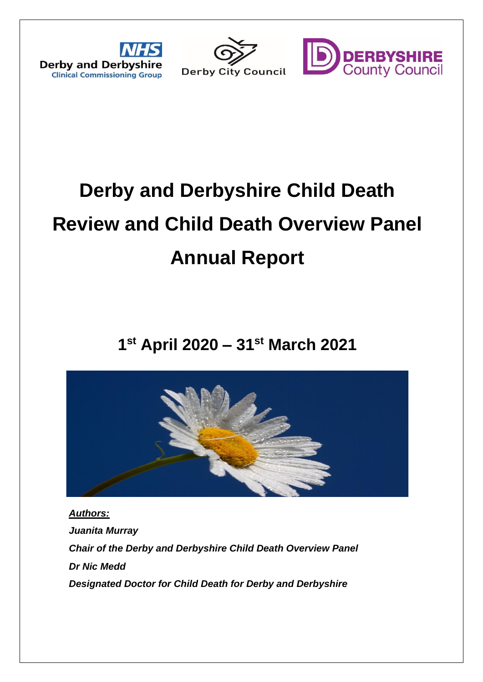



# **Derby and Derbyshire Child Death Review and Child Death Overview Panel Annual Report**

# **1 st April 2020 – 31st March 2021**



*Authors: Juanita Murray Chair of the Derby and Derbyshire Child Death Overview Panel Dr Nic Medd Designated Doctor for Child Death for Derby and Derbyshire*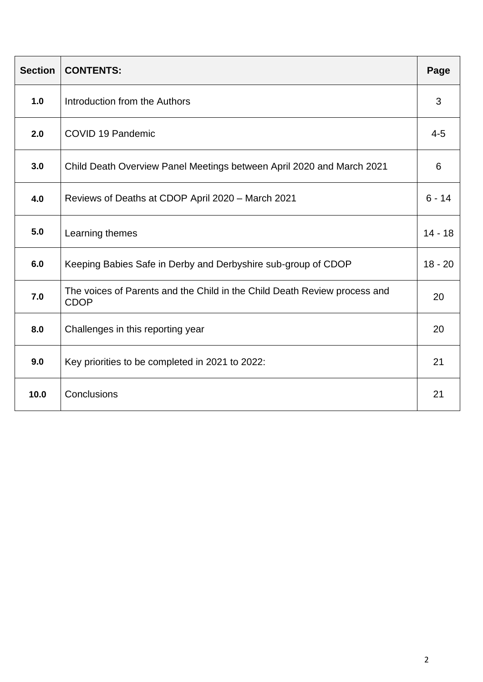| <b>Section</b> | <b>CONTENTS:</b>                                                                         | Page      |
|----------------|------------------------------------------------------------------------------------------|-----------|
| 1.0            | Introduction from the Authors                                                            | 3         |
| 2.0            | <b>COVID 19 Pandemic</b>                                                                 | $4 - 5$   |
| 3.0            | Child Death Overview Panel Meetings between April 2020 and March 2021                    | 6         |
| 4.0            | Reviews of Deaths at CDOP April 2020 - March 2021                                        | $6 - 14$  |
| 5.0            | Learning themes                                                                          | $14 - 18$ |
| 6.0            | Keeping Babies Safe in Derby and Derbyshire sub-group of CDOP                            | $18 - 20$ |
| 7.0            | The voices of Parents and the Child in the Child Death Review process and<br><b>CDOP</b> | 20        |
| 8.0            | Challenges in this reporting year                                                        | 20        |
| 9.0            | Key priorities to be completed in 2021 to 2022:                                          | 21        |
| 10.0           | Conclusions                                                                              | 21        |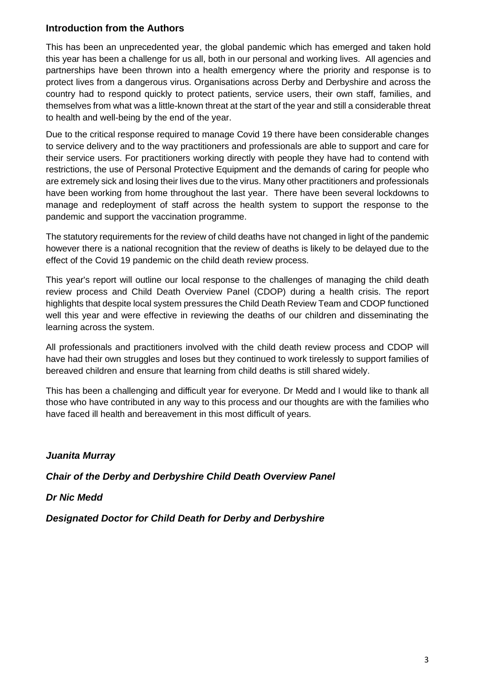# **Introduction from the Authors**

This has been an unprecedented year, the global pandemic which has emerged and taken hold this year has been a challenge for us all, both in our personal and working lives. All agencies and partnerships have been thrown into a health emergency where the priority and response is to protect lives from a dangerous virus. Organisations across Derby and Derbyshire and across the country had to respond quickly to protect patients, service users, their own staff, families, and themselves from what was a little-known threat at the start of the year and still a considerable threat to health and well-being by the end of the year.

Due to the critical response required to manage Covid 19 there have been considerable changes to service delivery and to the way practitioners and professionals are able to support and care for their service users. For practitioners working directly with people they have had to contend with restrictions, the use of Personal Protective Equipment and the demands of caring for people who are extremely sick and losing their lives due to the virus. Many other practitioners and professionals have been working from home throughout the last year. There have been several lockdowns to manage and redeployment of staff across the health system to support the response to the pandemic and support the vaccination programme.

The statutory requirements for the review of child deaths have not changed in light of the pandemic however there is a national recognition that the review of deaths is likely to be delayed due to the effect of the Covid 19 pandemic on the child death review process.

This year's report will outline our local response to the challenges of managing the child death review process and Child Death Overview Panel (CDOP) during a health crisis. The report highlights that despite local system pressures the Child Death Review Team and CDOP functioned well this year and were effective in reviewing the deaths of our children and disseminating the learning across the system.

All professionals and practitioners involved with the child death review process and CDOP will have had their own struggles and loses but they continued to work tirelessly to support families of bereaved children and ensure that learning from child deaths is still shared widely.

This has been a challenging and difficult year for everyone. Dr Medd and I would like to thank all those who have contributed in any way to this process and our thoughts are with the families who have faced ill health and bereavement in this most difficult of years.

*Juanita Murray*

*Chair of the Derby and Derbyshire Child Death Overview Panel* 

*Dr Nic Medd* 

*Designated Doctor for Child Death for Derby and Derbyshire*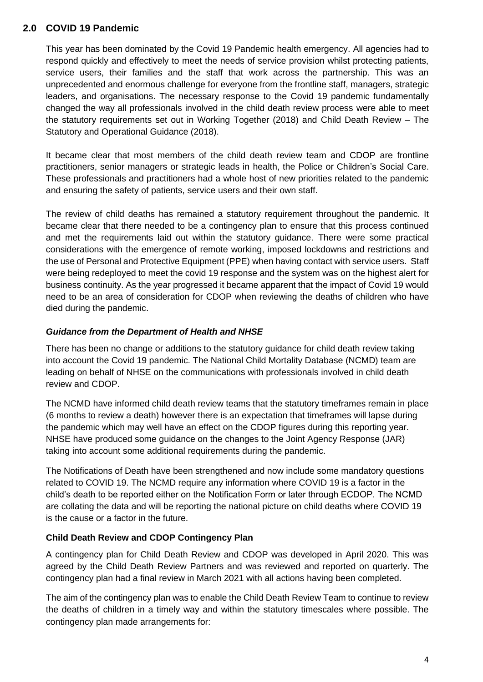# **2.0 COVID 19 Pandemic**

This year has been dominated by the Covid 19 Pandemic health emergency. All agencies had to respond quickly and effectively to meet the needs of service provision whilst protecting patients, service users, their families and the staff that work across the partnership. This was an unprecedented and enormous challenge for everyone from the frontline staff, managers, strategic leaders, and organisations. The necessary response to the Covid 19 pandemic fundamentally changed the way all professionals involved in the child death review process were able to meet the statutory requirements set out in Working Together (2018) and Child Death Review – The Statutory and Operational Guidance (2018).

It became clear that most members of the child death review team and CDOP are frontline practitioners, senior managers or strategic leads in health, the Police or Children's Social Care. These professionals and practitioners had a whole host of new priorities related to the pandemic and ensuring the safety of patients, service users and their own staff.

The review of child deaths has remained a statutory requirement throughout the pandemic. It became clear that there needed to be a contingency plan to ensure that this process continued and met the requirements laid out within the statutory guidance. There were some practical considerations with the emergence of remote working, imposed lockdowns and restrictions and the use of Personal and Protective Equipment (PPE) when having contact with service users. Staff were being redeployed to meet the covid 19 response and the system was on the highest alert for business continuity. As the year progressed it became apparent that the impact of Covid 19 would need to be an area of consideration for CDOP when reviewing the deaths of children who have died during the pandemic.

#### *Guidance from the Department of Health and NHSE*

There has been no change or additions to the statutory guidance for child death review taking into account the Covid 19 pandemic. The National Child Mortality Database (NCMD) team are leading on behalf of NHSE on the communications with professionals involved in child death review and CDOP.

The NCMD have informed child death review teams that the statutory timeframes remain in place (6 months to review a death) however there is an expectation that timeframes will lapse during the pandemic which may well have an effect on the CDOP figures during this reporting year. NHSE have produced some guidance on the changes to the Joint Agency Response (JAR) taking into account some additional requirements during the pandemic.

The Notifications of Death have been strengthened and now include some mandatory questions related to COVID 19. The NCMD require any information where COVID 19 is a factor in the child's death to be reported either on the Notification Form or later through ECDOP. The NCMD are collating the data and will be reporting the national picture on child deaths where COVID 19 is the cause or a factor in the future.

#### **Child Death Review and CDOP Contingency Plan**

A contingency plan for Child Death Review and CDOP was developed in April 2020. This was agreed by the Child Death Review Partners and was reviewed and reported on quarterly. The contingency plan had a final review in March 2021 with all actions having been completed.

The aim of the contingency plan was to enable the Child Death Review Team to continue to review the deaths of children in a timely way and within the statutory timescales where possible. The contingency plan made arrangements for: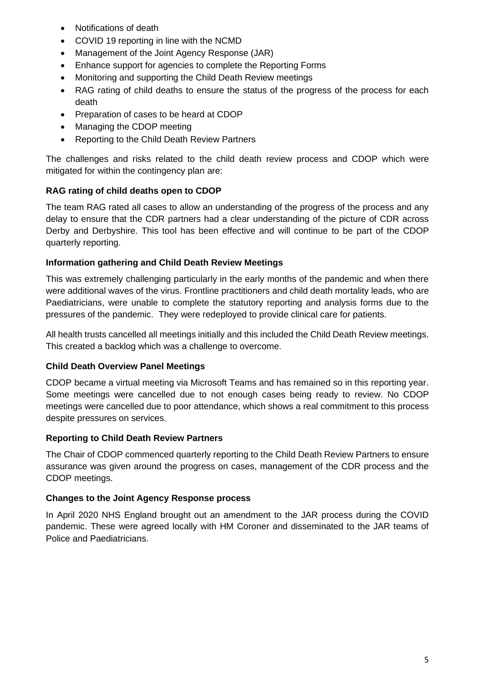- Notifications of death
- COVID 19 reporting in line with the NCMD
- Management of the Joint Agency Response (JAR)
- Enhance support for agencies to complete the Reporting Forms
- Monitoring and supporting the Child Death Review meetings
- RAG rating of child deaths to ensure the status of the progress of the process for each death
- Preparation of cases to be heard at CDOP
- Managing the CDOP meeting
- Reporting to the Child Death Review Partners

The challenges and risks related to the child death review process and CDOP which were mitigated for within the contingency plan are:

#### **RAG rating of child deaths open to CDOP**

The team RAG rated all cases to allow an understanding of the progress of the process and any delay to ensure that the CDR partners had a clear understanding of the picture of CDR across Derby and Derbyshire. This tool has been effective and will continue to be part of the CDOP quarterly reporting.

#### **Information gathering and Child Death Review Meetings**

This was extremely challenging particularly in the early months of the pandemic and when there were additional waves of the virus. Frontline practitioners and child death mortality leads, who are Paediatricians, were unable to complete the statutory reporting and analysis forms due to the pressures of the pandemic. They were redeployed to provide clinical care for patients.

All health trusts cancelled all meetings initially and this included the Child Death Review meetings. This created a backlog which was a challenge to overcome.

#### **Child Death Overview Panel Meetings**

CDOP became a virtual meeting via Microsoft Teams and has remained so in this reporting year. Some meetings were cancelled due to not enough cases being ready to review. No CDOP meetings were cancelled due to poor attendance, which shows a real commitment to this process despite pressures on services.

#### **Reporting to Child Death Review Partners**

The Chair of CDOP commenced quarterly reporting to the Child Death Review Partners to ensure assurance was given around the progress on cases, management of the CDR process and the CDOP meetings.

#### **Changes to the Joint Agency Response process**

In April 2020 NHS England brought out an amendment to the JAR process during the COVID pandemic. These were agreed locally with HM Coroner and disseminated to the JAR teams of Police and Paediatricians.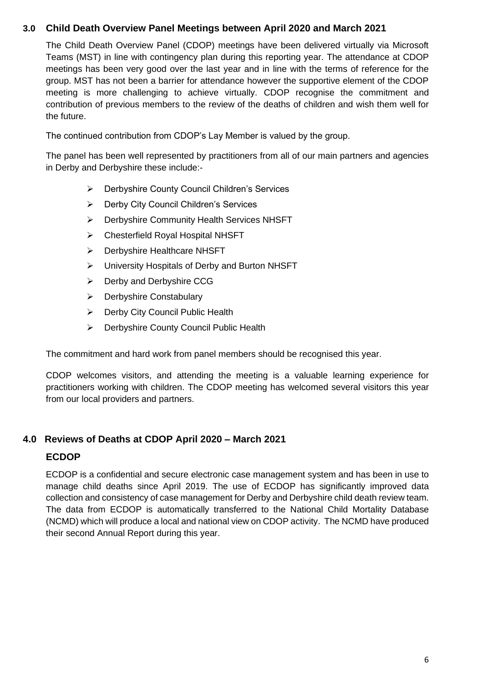# **3.0 Child Death Overview Panel Meetings between April 2020 and March 2021**

The Child Death Overview Panel (CDOP) meetings have been delivered virtually via Microsoft Teams (MST) in line with contingency plan during this reporting year. The attendance at CDOP meetings has been very good over the last year and in line with the terms of reference for the group. MST has not been a barrier for attendance however the supportive element of the CDOP meeting is more challenging to achieve virtually. CDOP recognise the commitment and contribution of previous members to the review of the deaths of children and wish them well for the future.

The continued contribution from CDOP's Lay Member is valued by the group.

The panel has been well represented by practitioners from all of our main partners and agencies in Derby and Derbyshire these include:-

- ➢ Derbyshire County Council Children's Services
- ➢ Derby City Council Children's Services
- ➢ Derbyshire Community Health Services NHSFT
- ➢ Chesterfield Royal Hospital NHSFT
- ➢ Derbyshire Healthcare NHSFT
- ➢ University Hospitals of Derby and Burton NHSFT
- ➢ Derby and Derbyshire CCG
- ➢ Derbyshire Constabulary
- ➢ Derby City Council Public Health
- ➢ Derbyshire County Council Public Health

The commitment and hard work from panel members should be recognised this year.

CDOP welcomes visitors, and attending the meeting is a valuable learning experience for practitioners working with children. The CDOP meeting has welcomed several visitors this year from our local providers and partners.

#### **4.0 Reviews of Deaths at CDOP April 2020 – March 2021**

#### **ECDOP**

ECDOP is a confidential and secure electronic case management system and has been in use to manage child deaths since April 2019. The use of ECDOP has significantly improved data collection and consistency of case management for Derby and Derbyshire child death review team. The data from ECDOP is automatically transferred to the National Child Mortality Database (NCMD) which will produce a local and national view on CDOP activity. The NCMD have produced their second Annual Report during this year.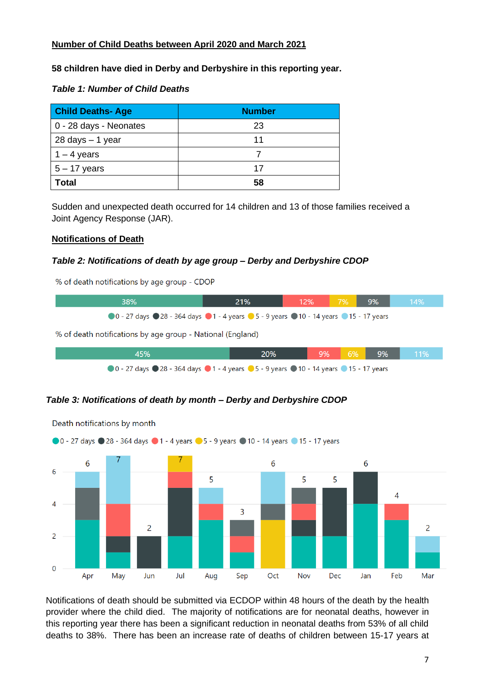#### **Number of Child Deaths between April 2020 and March 2021**

#### **58 children have died in Derby and Derbyshire in this reporting year.**

#### *Table 1: Number of Child Deaths*

| <b>Child Deaths-Age</b> | <b>Number</b> |  |
|-------------------------|---------------|--|
| 0 - 28 days - Neonates  | 23            |  |
| 28 days - 1 year        | 11            |  |
| $1 - 4$ years           |               |  |
| $5 - 17$ years          | 17            |  |
| Total                   | 58            |  |

Sudden and unexpected death occurred for 14 children and 13 of those families received a Joint Agency Response (JAR).

#### **Notifications of Death**

#### *Table 2: Notifications of death by age group – Derby and Derbyshire CDOP*

% of death notifications by age group - CDOP



#### *Table 3: Notifications of death by month – Derby and Derbyshire CDOP*



Death notifications by month

Notifications of death should be submitted via ECDOP within 48 hours of the death by the health provider where the child died. The majority of notifications are for neonatal deaths, however in this reporting year there has been a significant reduction in neonatal deaths from 53% of all child deaths to 38%. There has been an increase rate of deaths of children between 15-17 years at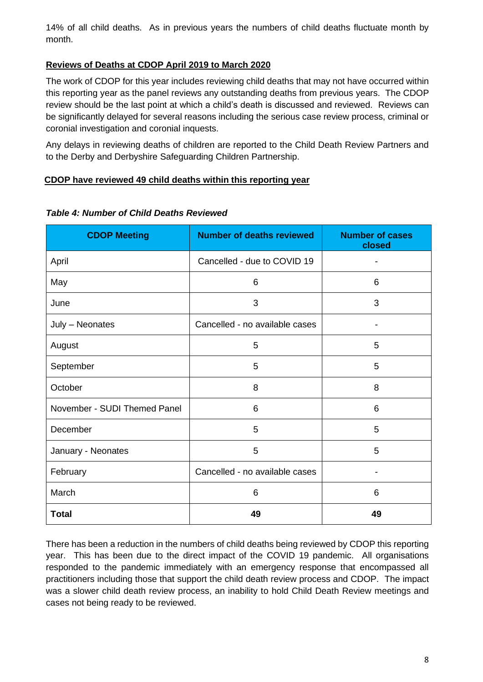14% of all child deaths. As in previous years the numbers of child deaths fluctuate month by month.

#### **Reviews of Deaths at CDOP April 2019 to March 2020**

The work of CDOP for this year includes reviewing child deaths that may not have occurred within this reporting year as the panel reviews any outstanding deaths from previous years. The CDOP review should be the last point at which a child's death is discussed and reviewed. Reviews can be significantly delayed for several reasons including the serious case review process, criminal or coronial investigation and coronial inquests.

Any delays in reviewing deaths of children are reported to the Child Death Review Partners and to the Derby and Derbyshire Safeguarding Children Partnership.

#### **CDOP have reviewed 49 child deaths within this reporting year**

| <b>CDOP Meeting</b>          | <b>Number of deaths reviewed</b> | <b>Number of cases</b><br>closed |
|------------------------------|----------------------------------|----------------------------------|
| April                        | Cancelled - due to COVID 19      |                                  |
| May                          | 6                                | 6                                |
| June                         | 3                                | 3                                |
| July - Neonates              | Cancelled - no available cases   |                                  |
| August                       | 5                                | 5                                |
| September                    | 5                                | 5                                |
| October                      | 8                                | 8                                |
| November - SUDI Themed Panel | 6                                | 6                                |
| December                     | 5                                | 5                                |
| January - Neonates           | 5                                | 5                                |
| February                     | Cancelled - no available cases   |                                  |
| March                        | 6                                | 6                                |
| <b>Total</b>                 | 49                               | 49                               |

#### *Table 4: Number of Child Deaths Reviewed*

There has been a reduction in the numbers of child deaths being reviewed by CDOP this reporting year. This has been due to the direct impact of the COVID 19 pandemic. All organisations responded to the pandemic immediately with an emergency response that encompassed all practitioners including those that support the child death review process and CDOP. The impact was a slower child death review process, an inability to hold Child Death Review meetings and cases not being ready to be reviewed.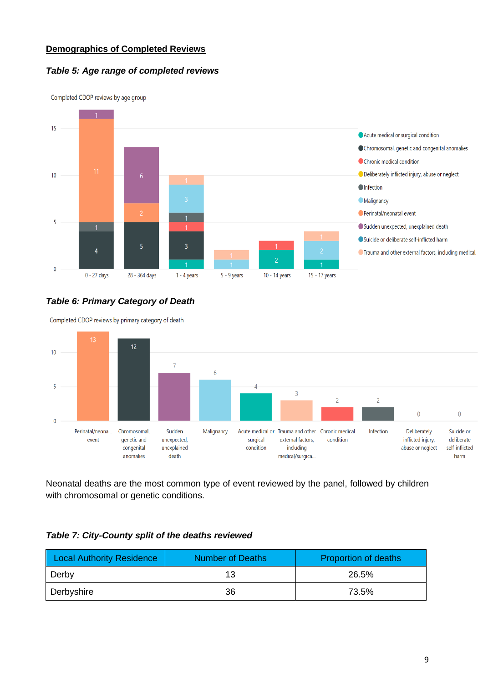#### **Demographics of Completed Reviews**

#### *Table 5: Age range of completed reviews*



Completed CDOP reviews by age group

#### *Table 6: Primary Category of Death*

Completed CDOP reviews by primary category of death



Neonatal deaths are the most common type of event reviewed by the panel, followed by children with chromosomal or genetic conditions.

#### *Table 7: City-County split of the deaths reviewed*

| <b>Local Authority Residence</b> | <b>Number of Deaths</b> | <b>Proportion of deaths</b> |
|----------------------------------|-------------------------|-----------------------------|
| Derby                            | 13                      | 26.5%                       |
| Derbyshire                       | 36                      | 73.5%                       |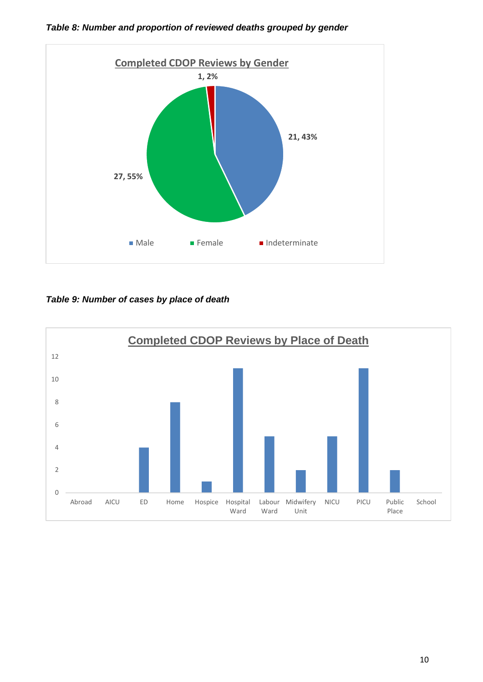

*Table 8: Number and proportion of reviewed deaths grouped by gender*

*Table 9: Number of cases by place of death*

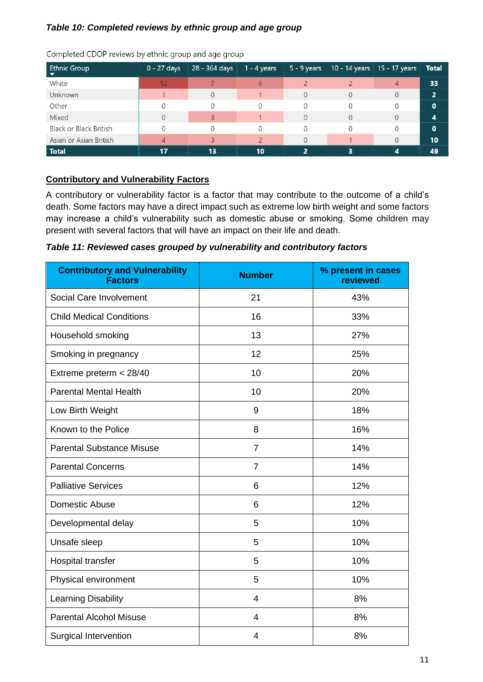#### *Table 10: Completed reviews by ethnic group and age group*

| <b>Ethnic Group</b>           | $0 - 27$ days | 28 - 364 days | $1 - 4$ years | $5 - 9$ years | $10 - 14$ years   15 - 17 years |   | <b>Total</b> |
|-------------------------------|---------------|---------------|---------------|---------------|---------------------------------|---|--------------|
| White                         | 12            |               | 6             |               |                                 | 4 | 33           |
| <b>Unknown</b>                |               |               |               |               |                                 | 0 | 2            |
| Other                         |               |               | 0             | 0             |                                 | 0 | O            |
| <b>Mixed</b>                  |               |               |               | 0             |                                 | 0 | 4            |
| <b>Black or Black British</b> |               |               |               | 0             |                                 | 0 | 0            |
| Asian or Asian British        |               |               |               |               |                                 | 0 | 10           |
| Total                         | 17            | 13            | 10            | 2             |                                 |   | 49           |

Completed CDOP reviews by ethnic group and age group

#### **Contributory and Vulnerability Factors**

A contributory or vulnerability factor is a factor that may contribute to the outcome of a child's death. Some factors may have a direct impact such as extreme low birth weight and some factors may increase a child's vulnerability such as domestic abuse or smoking. Some children may present with several factors that will have an impact on their life and death.

*Table 11: Reviewed cases grouped by vulnerability and contributory factors*

| <b>Contributory and Vulnerability</b><br><b>Factors</b> | <b>Number</b>  | % present in cases<br>reviewed |
|---------------------------------------------------------|----------------|--------------------------------|
| Social Care Involvement                                 | 21             | 43%                            |
| <b>Child Medical Conditions</b>                         | 16             | 33%                            |
| Household smoking                                       | 13             | 27%                            |
| Smoking in pregnancy                                    | 12             | 25%                            |
| Extreme preterm < 28/40                                 | 10             | 20%                            |
| <b>Parental Mental Health</b>                           | 10             | 20%                            |
| Low Birth Weight                                        | 9              | 18%                            |
| Known to the Police                                     | 8              | 16%                            |
| <b>Parental Substance Misuse</b>                        | $\overline{7}$ | 14%                            |
| <b>Parental Concerns</b>                                | $\overline{7}$ | 14%                            |
| <b>Palliative Services</b>                              | 6              | 12%                            |
| Domestic Abuse                                          | 6              | 12%                            |
| Developmental delay                                     | 5              | 10%                            |
| Unsafe sleep                                            | 5              | 10%                            |
| Hospital transfer                                       | 5              | 10%                            |
| Physical environment                                    | 5              | 10%                            |
| Learning Disability                                     | 4              | 8%                             |
| <b>Parental Alcohol Misuse</b>                          | 4              | 8%                             |
| <b>Surgical Intervention</b>                            | 4              | 8%                             |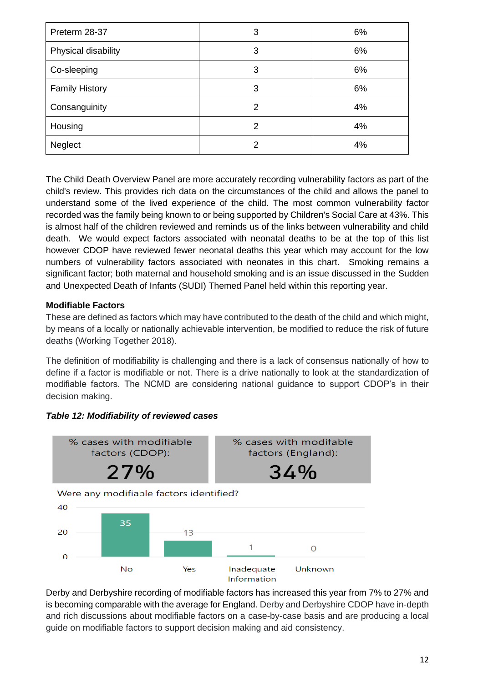| Preterm 28-37         | 3             | 6% |
|-----------------------|---------------|----|
| Physical disability   | 3             | 6% |
| Co-sleeping           | 3             | 6% |
| <b>Family History</b> | 3             | 6% |
| Consanguinity         | 2             | 4% |
| Housing               | $\mathcal{P}$ | 4% |
| Neglect               | 2             | 4% |

The Child Death Overview Panel are more accurately recording vulnerability factors as part of the child's review. This provides rich data on the circumstances of the child and allows the panel to understand some of the lived experience of the child. The most common vulnerability factor recorded was the family being known to or being supported by Children's Social Care at 43%. This is almost half of the children reviewed and reminds us of the links between vulnerability and child death. We would expect factors associated with neonatal deaths to be at the top of this list however CDOP have reviewed fewer neonatal deaths this year which may account for the low numbers of vulnerability factors associated with neonates in this chart. Smoking remains a significant factor; both maternal and household smoking and is an issue discussed in the Sudden and Unexpected Death of Infants (SUDI) Themed Panel held within this reporting year.

#### **Modifiable Factors**

These are defined as factors which may have contributed to the death of the child and which might, by means of a locally or nationally achievable intervention, be modified to reduce the risk of future deaths (Working Together 2018).

The definition of modifiability is challenging and there is a lack of consensus nationally of how to define if a factor is modifiable or not. There is a drive nationally to look at the standardization of modifiable factors. The NCMD are considering national guidance to support CDOP's in their decision making.

#### *Table 12: Modifiability of reviewed cases*



Derby and Derbyshire recording of modifiable factors has increased this year from 7% to 27% and is becoming comparable with the average for England. Derby and Derbyshire CDOP have in-depth and rich discussions about modifiable factors on a case-by-case basis and are producing a local guide on modifiable factors to support decision making and aid consistency.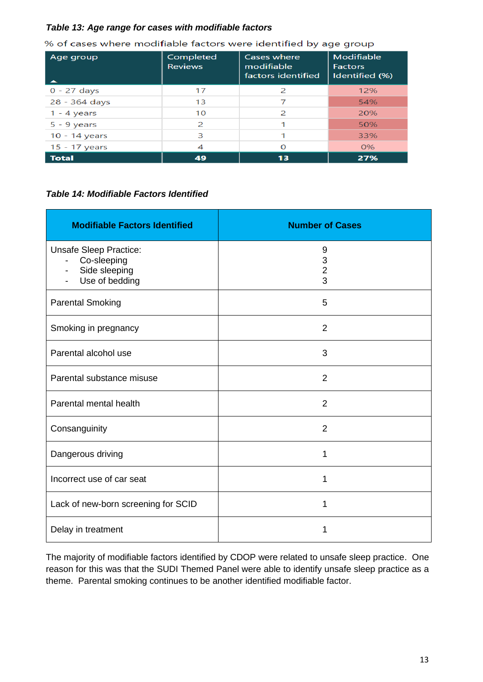#### *Table 13: Age range for cases with modifiable factors*

| Age group     | Completed<br><b>Reviews</b> | Cases where<br>modifiable<br>factors identified | Modifiable<br><b>Factors</b><br>Identified (%) |
|---------------|-----------------------------|-------------------------------------------------|------------------------------------------------|
| $0 - 27$ days | 17                          | $\mathcal{P}$                                   | 12%                                            |
| 28 - 364 days | 13                          |                                                 | 54%                                            |
| $1 - 4$ years | 10                          | $\mathcal{P}$                                   | 20%                                            |
| $5 - 9$ years | 2                           |                                                 | 50%                                            |
| 10 - 14 years | 3                           |                                                 | 33%                                            |
| 15 - 17 years | 4                           | O                                               | 0%                                             |
| <b>Total</b>  | 49                          | 13                                              | 27%                                            |

% of cases where modifiable factors were identified by age group

#### *Table 14: Modifiable Factors Identified*

| <b>Modifiable Factors Identified</b>                                                                                                    | <b>Number of Cases</b> |
|-----------------------------------------------------------------------------------------------------------------------------------------|------------------------|
| <b>Unsafe Sleep Practice:</b><br>Co-sleeping<br>$\overline{\phantom{a}}$<br>Side sleeping<br>$\overline{\phantom{a}}$<br>Use of bedding | 9<br>$\frac{3}{2}$     |
| <b>Parental Smoking</b>                                                                                                                 | 5                      |
| Smoking in pregnancy                                                                                                                    | $\overline{2}$         |
| Parental alcohol use                                                                                                                    | 3                      |
| Parental substance misuse                                                                                                               | $\overline{2}$         |
| Parental mental health                                                                                                                  | $\overline{2}$         |
| Consanguinity                                                                                                                           | $\overline{2}$         |
| Dangerous driving                                                                                                                       | 1                      |
| Incorrect use of car seat                                                                                                               | 1                      |
| Lack of new-born screening for SCID                                                                                                     | 1                      |
| Delay in treatment                                                                                                                      | 1                      |

The majority of modifiable factors identified by CDOP were related to unsafe sleep practice. One reason for this was that the SUDI Themed Panel were able to identify unsafe sleep practice as a theme. Parental smoking continues to be another identified modifiable factor.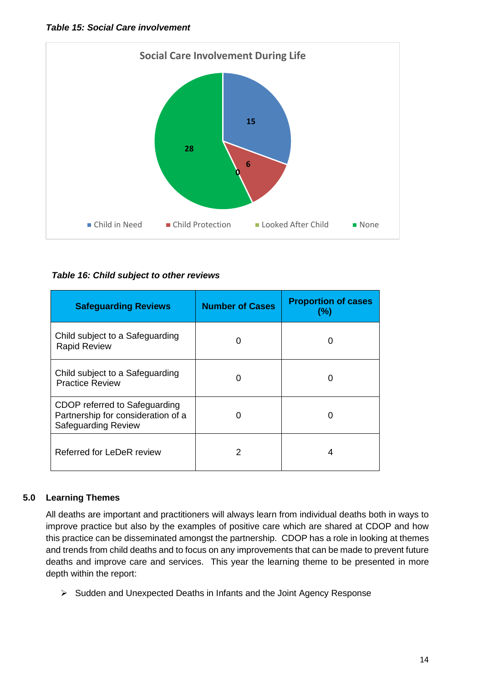

#### *Table 16: Child subject to other reviews*

| <b>Safeguarding Reviews</b>                                                                       | <b>Number of Cases</b> | <b>Proportion of cases</b><br>(%) |
|---------------------------------------------------------------------------------------------------|------------------------|-----------------------------------|
| Child subject to a Safeguarding<br><b>Rapid Review</b>                                            |                        |                                   |
| Child subject to a Safeguarding<br><b>Practice Review</b>                                         |                        | O                                 |
| CDOP referred to Safeguarding<br>Partnership for consideration of a<br><b>Safeguarding Review</b> |                        |                                   |
| Referred for LeDeR review                                                                         | 2                      |                                   |

#### **5.0 Learning Themes**

 All deaths are important and practitioners will always learn from individual deaths both in ways to improve practice but also by the examples of positive care which are shared at CDOP and how this practice can be disseminated amongst the partnership. CDOP has a role in looking at themes and trends from child deaths and to focus on any improvements that can be made to prevent future deaths and improve care and services. This year the learning theme to be presented in more depth within the report:

➢ Sudden and Unexpected Deaths in Infants and the Joint Agency Response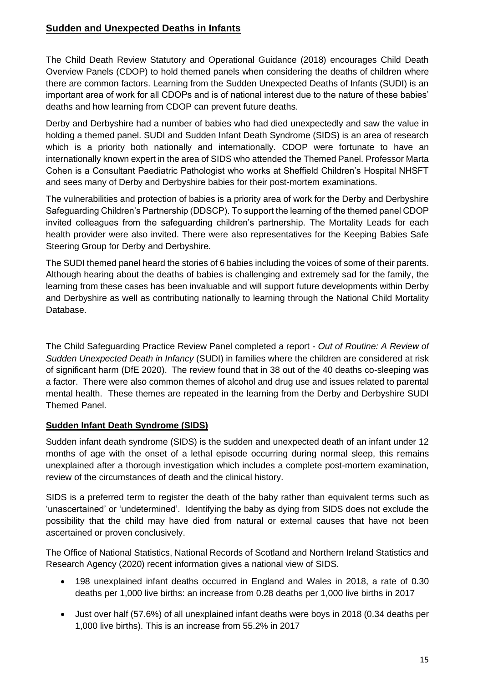# **Sudden and Unexpected Deaths in Infants**

The Child Death Review Statutory and Operational Guidance (2018) encourages Child Death Overview Panels (CDOP) to hold themed panels when considering the deaths of children where there are common factors. Learning from the Sudden Unexpected Deaths of Infants (SUDI) is an important area of work for all CDOPs and is of national interest due to the nature of these babies' deaths and how learning from CDOP can prevent future deaths.

Derby and Derbyshire had a number of babies who had died unexpectedly and saw the value in holding a themed panel. SUDI and Sudden Infant Death Syndrome (SIDS) is an area of research which is a priority both nationally and internationally. CDOP were fortunate to have an internationally known expert in the area of SIDS who attended the Themed Panel. Professor Marta Cohen is a Consultant Paediatric Pathologist who works at Sheffield Children's Hospital NHSFT and sees many of Derby and Derbyshire babies for their post-mortem examinations.

The vulnerabilities and protection of babies is a priority area of work for the Derby and Derbyshire Safeguarding Children's Partnership (DDSCP). To support the learning of the themed panel CDOP invited colleagues from the safeguarding children's partnership. The Mortality Leads for each health provider were also invited. There were also representatives for the Keeping Babies Safe Steering Group for Derby and Derbyshire.

The SUDI themed panel heard the stories of 6 babies including the voices of some of their parents. Although hearing about the deaths of babies is challenging and extremely sad for the family, the learning from these cases has been invaluable and will support future developments within Derby and Derbyshire as well as contributing nationally to learning through the National Child Mortality Database.

The Child Safeguarding Practice Review Panel completed a report - *Out of Routine: A Review of Sudden Unexpected Death in Infancy* (SUDI) in families where the children are considered at risk of significant harm (DfE 2020). The review found that in 38 out of the 40 deaths co-sleeping was a factor. There were also common themes of alcohol and drug use and issues related to parental mental health. These themes are repeated in the learning from the Derby and Derbyshire SUDI Themed Panel.

#### **Sudden Infant Death Syndrome (SIDS)**

Sudden infant death syndrome (SIDS) is the sudden and unexpected death of an infant under 12 months of age with the onset of a lethal episode occurring during normal sleep, this remains unexplained after a thorough investigation which includes a complete post-mortem examination, review of the circumstances of death and the clinical history.

SIDS is a preferred term to register the death of the baby rather than equivalent terms such as 'unascertained' or 'undetermined'. Identifying the baby as dying from SIDS does not exclude the possibility that the child may have died from natural or external causes that have not been ascertained or proven conclusively.

The Office of National Statistics, National Records of Scotland and Northern Ireland Statistics and Research Agency (2020) recent information gives a national view of SIDS.

- 198 unexplained infant deaths occurred in England and Wales in 2018, a rate of 0.30 deaths per 1,000 live births: an increase from 0.28 deaths per 1,000 live births in 2017
- Just over half (57.6%) of all unexplained infant deaths were boys in 2018 (0.34 deaths per 1,000 live births). This is an increase from 55.2% in 2017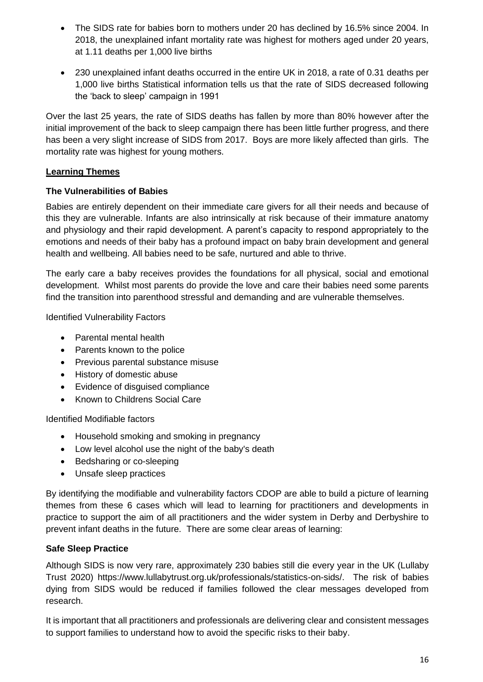- The SIDS rate for babies born to mothers under 20 has declined by 16.5% since 2004. In 2018, the unexplained infant mortality rate was highest for mothers aged under 20 years, at 1.11 deaths per 1,000 live births
- 230 unexplained infant deaths occurred in the entire UK in 2018, a rate of 0.31 deaths per 1,000 live births Statistical information tells us that the rate of SIDS decreased following the 'back to sleep' campaign in 1991

Over the last 25 years, the rate of SIDS deaths has fallen by more than 80% however after the initial improvement of the back to sleep campaign there has been little further progress, and there has been a very slight increase of SIDS from 2017. Boys are more likely affected than girls. The mortality rate was highest for young mothers.

#### **Learning Themes**

#### **The Vulnerabilities of Babies**

Babies are entirely dependent on their immediate care givers for all their needs and because of this they are vulnerable. Infants are also intrinsically at risk because of their immature anatomy and physiology and their rapid development. A parent's capacity to respond appropriately to the emotions and needs of their baby has a profound impact on baby brain development and general health and wellbeing. All babies need to be safe, nurtured and able to thrive.

The early care a baby receives provides the foundations for all physical, social and emotional development. Whilst most parents do provide the love and care their babies need some parents find the transition into parenthood stressful and demanding and are vulnerable themselves.

Identified Vulnerability Factors

- Parental mental health
- Parents known to the police
- Previous parental substance misuse
- History of domestic abuse
- Evidence of disguised compliance
- Known to Childrens Social Care

Identified Modifiable factors

- Household smoking and smoking in pregnancy
- Low level alcohol use the night of the baby's death
- Bedsharing or co-sleeping
- Unsafe sleep practices

By identifying the modifiable and vulnerability factors CDOP are able to build a picture of learning themes from these 6 cases which will lead to learning for practitioners and developments in practice to support the aim of all practitioners and the wider system in Derby and Derbyshire to prevent infant deaths in the future. There are some clear areas of learning:

#### **Safe Sleep Practice**

Although SIDS is now very rare, approximately 230 babies still die every year in the UK (Lullaby Trust 2020) https://www.lullabytrust.org.uk/professionals/statistics-on-sids/. The risk of babies dying from SIDS would be reduced if families followed the clear messages developed from research.

It is important that all practitioners and professionals are delivering clear and consistent messages to support families to understand how to avoid the specific risks to their baby.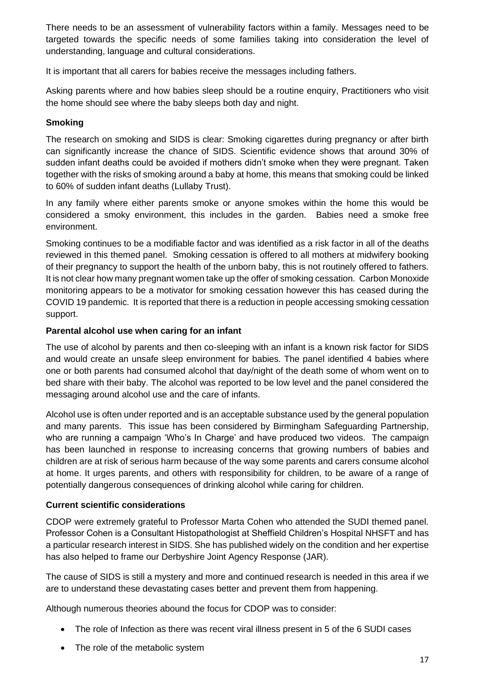There needs to be an assessment of vulnerability factors within a family. Messages need to be targeted towards the specific needs of some families taking into consideration the level of understanding, language and cultural considerations.

It is important that all carers for babies receive the messages including fathers.

Asking parents where and how babies sleep should be a routine enquiry, Practitioners who visit the home should see where the baby sleeps both day and night.

#### **Smoking**

The research on smoking and SIDS is clear: Smoking cigarettes during pregnancy or after birth can significantly increase the chance of SIDS. Scientific evidence shows that around 30% of sudden infant deaths could be avoided if mothers didn't smoke when they were pregnant. Taken together with the risks of smoking around a baby at home, this means that smoking could be linked to 60% of sudden infant deaths (Lullaby Trust).

In any family where either parents smoke or anyone smokes within the home this would be considered a smoky environment, this includes in the garden. Babies need a smoke free environment.

Smoking continues to be a modifiable factor and was identified as a risk factor in all of the deaths reviewed in this themed panel. Smoking cessation is offered to all mothers at midwifery booking of their pregnancy to support the health of the unborn baby, this is not routinely offered to fathers. It is not clear how many pregnant women take up the offer of smoking cessation. Carbon Monoxide monitoring appears to be a motivator for smoking cessation however this has ceased during the COVID 19 pandemic. It is reported that there is a reduction in people accessing smoking cessation support.

#### **Parental alcohol use when caring for an infant**

The use of alcohol by parents and then co-sleeping with an infant is a known risk factor for SIDS and would create an unsafe sleep environment for babies. The panel identified 4 babies where one or both parents had consumed alcohol that day/night of the death some of whom went on to bed share with their baby. The alcohol was reported to be low level and the panel considered the messaging around alcohol use and the care of infants.

Alcohol use is often under reported and is an acceptable substance used by the general population and many parents. This issue has been considered by Birmingham Safeguarding Partnership, who are running a campaign 'Who's In Charge' and have produced two videos. The campaign has been launched in response to increasing concerns that growing numbers of babies and children are at risk of serious harm because of the way some parents and carers consume alcohol at home. It urges parents, and others with responsibility for children, to be aware of a range of potentially dangerous consequences of drinking alcohol while caring for children.

#### **Current scientific considerations**

CDOP were extremely grateful to Professor Marta Cohen who attended the SUDI themed panel. Professor Cohen is a Consultant Histopathologist at Sheffield Children's Hospital NHSFT and has a particular research interest in SIDS. She has published widely on the condition and her expertise has also helped to frame our Derbyshire Joint Agency Response (JAR).

The cause of SIDS is still a mystery and more and continued research is needed in this area if we are to understand these devastating cases better and prevent them from happening.

Although numerous theories abound the focus for CDOP was to consider:

- The role of Infection as there was recent viral illness present in 5 of the 6 SUDI cases
- The role of the metabolic system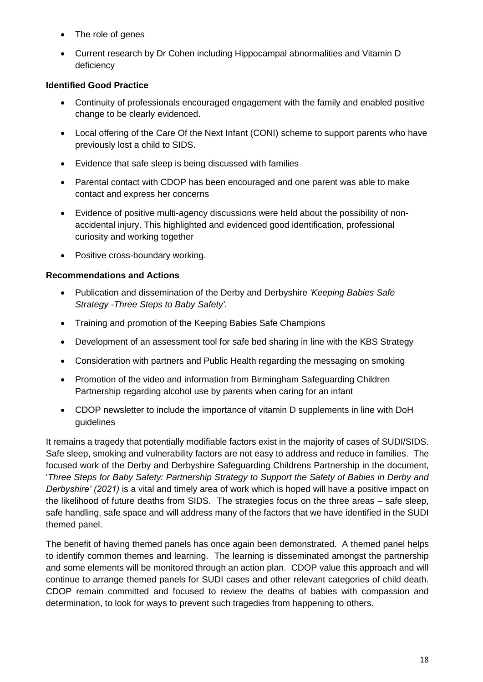- The role of genes
- Current research by Dr Cohen including Hippocampal abnormalities and Vitamin D deficiency

#### **Identified Good Practice**

- Continuity of professionals encouraged engagement with the family and enabled positive change to be clearly evidenced.
- Local offering of the Care Of the Next Infant (CONI) scheme to support parents who have previously lost a child to SIDS.
- Evidence that safe sleep is being discussed with families
- Parental contact with CDOP has been encouraged and one parent was able to make contact and express her concerns
- Evidence of positive multi-agency discussions were held about the possibility of nonaccidental injury. This highlighted and evidenced good identification, professional curiosity and working together
- Positive cross-boundary working.

#### **Recommendations and Actions**

- Publication and dissemination of the Derby and Derbyshire *'Keeping Babies Safe Strategy -Three Steps to Baby Safety'.*
- Training and promotion of the Keeping Babies Safe Champions
- Development of an assessment tool for safe bed sharing in line with the KBS Strategy
- Consideration with partners and Public Health regarding the messaging on smoking
- Promotion of the video and information from Birmingham Safeguarding Children Partnership regarding alcohol use by parents when caring for an infant
- CDOP newsletter to include the importance of vitamin D supplements in line with DoH guidelines

It remains a tragedy that potentially modifiable factors exist in the majority of cases of SUDI/SIDS. Safe sleep, smoking and vulnerability factors are not easy to address and reduce in families. The focused work of the Derby and Derbyshire Safeguarding Childrens Partnership in the document, '*Three Steps for Baby Safety: Partnership Strategy to Support the Safety of Babies in Derby and Derbyshire' (2021)* is a vital and timely area of work which is hoped will have a positive impact on the likelihood of future deaths from SIDS. The strategies focus on the three areas – safe sleep, safe handling, safe space and will address many of the factors that we have identified in the SUDI themed panel.

The benefit of having themed panels has once again been demonstrated. A themed panel helps to identify common themes and learning. The learning is disseminated amongst the partnership and some elements will be monitored through an action plan. CDOP value this approach and will continue to arrange themed panels for SUDI cases and other relevant categories of child death. CDOP remain committed and focused to review the deaths of babies with compassion and determination, to look for ways to prevent such tragedies from happening to others.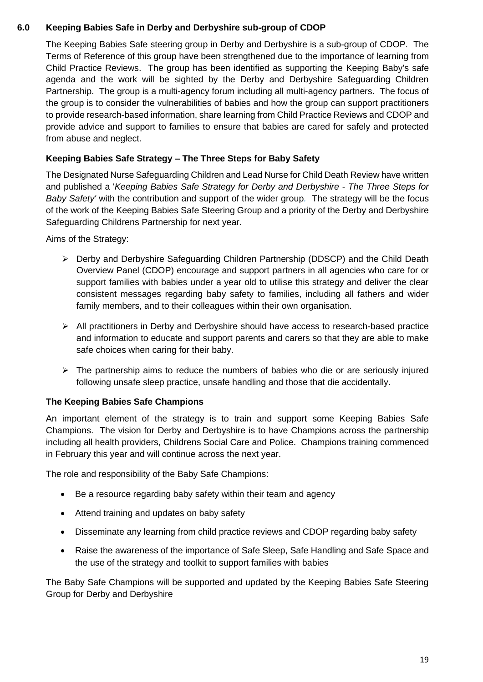#### **6.0 Keeping Babies Safe in Derby and Derbyshire sub-group of CDOP**

The Keeping Babies Safe steering group in Derby and Derbyshire is a sub-group of CDOP. The Terms of Reference of this group have been strengthened due to the importance of learning from Child Practice Reviews. The group has been identified as supporting the Keeping Baby's safe agenda and the work will be sighted by the Derby and Derbyshire Safeguarding Children Partnership. The group is a multi-agency forum including all multi-agency partners. The focus of the group is to consider the vulnerabilities of babies and how the group can support practitioners to provide research-based information, share learning from Child Practice Reviews and CDOP and provide advice and support to families to ensure that babies are cared for safely and protected from abuse and neglect.

#### **Keeping Babies Safe Strategy – The Three Steps for Baby Safety**

The Designated Nurse Safeguarding Children and Lead Nurse for Child Death Review have written and published a '*Keeping Babies Safe Strategy for Derby and Derbyshire - The Three Steps for Baby Safety'* with the contribution and support of the wider group*.* The strategy will be the focus of the work of the Keeping Babies Safe Steering Group and a priority of the Derby and Derbyshire Safeguarding Childrens Partnership for next year.

Aims of the Strategy:

- ➢ Derby and Derbyshire Safeguarding Children Partnership (DDSCP) and the Child Death Overview Panel (CDOP) encourage and support partners in all agencies who care for or support families with babies under a year old to utilise this strategy and deliver the clear consistent messages regarding baby safety to families, including all fathers and wider family members, and to their colleagues within their own organisation.
- ➢ All practitioners in Derby and Derbyshire should have access to research-based practice and information to educate and support parents and carers so that they are able to make safe choices when caring for their baby.
- $\triangleright$  The partnership aims to reduce the numbers of babies who die or are seriously injured following unsafe sleep practice, unsafe handling and those that die accidentally.

# **The Keeping Babies Safe Champions**

An important element of the strategy is to train and support some Keeping Babies Safe Champions. The vision for Derby and Derbyshire is to have Champions across the partnership including all health providers, Childrens Social Care and Police. Champions training commenced in February this year and will continue across the next year.

The role and responsibility of the Baby Safe Champions:

- Be a resource regarding baby safety within their team and agency
- Attend training and updates on baby safety
- Disseminate any learning from child practice reviews and CDOP regarding baby safety
- Raise the awareness of the importance of Safe Sleep, Safe Handling and Safe Space and the use of the strategy and toolkit to support families with babies

The Baby Safe Champions will be supported and updated by the Keeping Babies Safe Steering Group for Derby and Derbyshire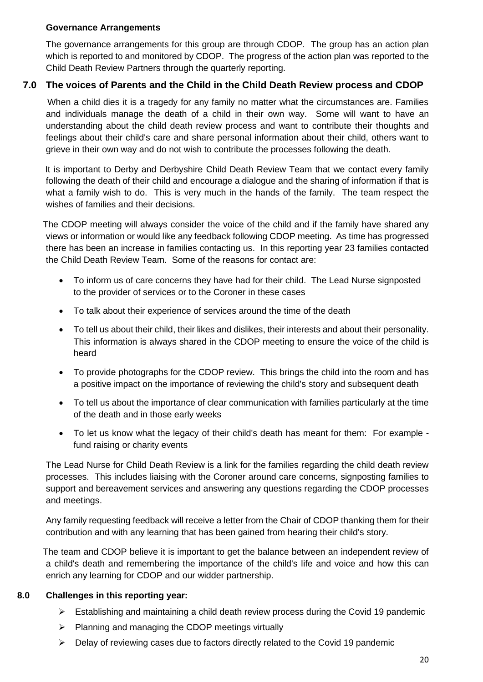#### **Governance Arrangements**

The governance arrangements for this group are through CDOP. The group has an action plan which is reported to and monitored by CDOP. The progress of the action plan was reported to the Child Death Review Partners through the quarterly reporting.

## **7.0 The voices of Parents and the Child in the Child Death Review process and CDOP**

 When a child dies it is a tragedy for any family no matter what the circumstances are. Families and individuals manage the death of a child in their own way. Some will want to have an understanding about the child death review process and want to contribute their thoughts and feelings about their child's care and share personal information about their child, others want to grieve in their own way and do not wish to contribute the processes following the death.

 It is important to Derby and Derbyshire Child Death Review Team that we contact every family following the death of their child and encourage a dialogue and the sharing of information if that is what a family wish to do. This is very much in the hands of the family. The team respect the wishes of families and their decisions.

 The CDOP meeting will always consider the voice of the child and if the family have shared any views or information or would like any feedback following CDOP meeting. As time has progressed there has been an increase in families contacting us. In this reporting year 23 families contacted the Child Death Review Team. Some of the reasons for contact are:

- To inform us of care concerns they have had for their child. The Lead Nurse signposted to the provider of services or to the Coroner in these cases
- To talk about their experience of services around the time of the death
- To tell us about their child, their likes and dislikes, their interests and about their personality. This information is always shared in the CDOP meeting to ensure the voice of the child is heard
- To provide photographs for the CDOP review. This brings the child into the room and has a positive impact on the importance of reviewing the child's story and subsequent death
- To tell us about the importance of clear communication with families particularly at the time of the death and in those early weeks
- To let us know what the legacy of their child's death has meant for them: For example fund raising or charity events

The Lead Nurse for Child Death Review is a link for the families regarding the child death review processes. This includes liaising with the Coroner around care concerns, signposting families to support and bereavement services and answering any questions regarding the CDOP processes and meetings.

Any family requesting feedback will receive a letter from the Chair of CDOP thanking them for their contribution and with any learning that has been gained from hearing their child's story.

 The team and CDOP believe it is important to get the balance between an independent review of a child's death and remembering the importance of the child's life and voice and how this can enrich any learning for CDOP and our widder partnership.

#### **8.0 Challenges in this reporting year:**

- ➢ Establishing and maintaining a child death review process during the Covid 19 pandemic
- ➢ Planning and managing the CDOP meetings virtually
- ➢ Delay of reviewing cases due to factors directly related to the Covid 19 pandemic